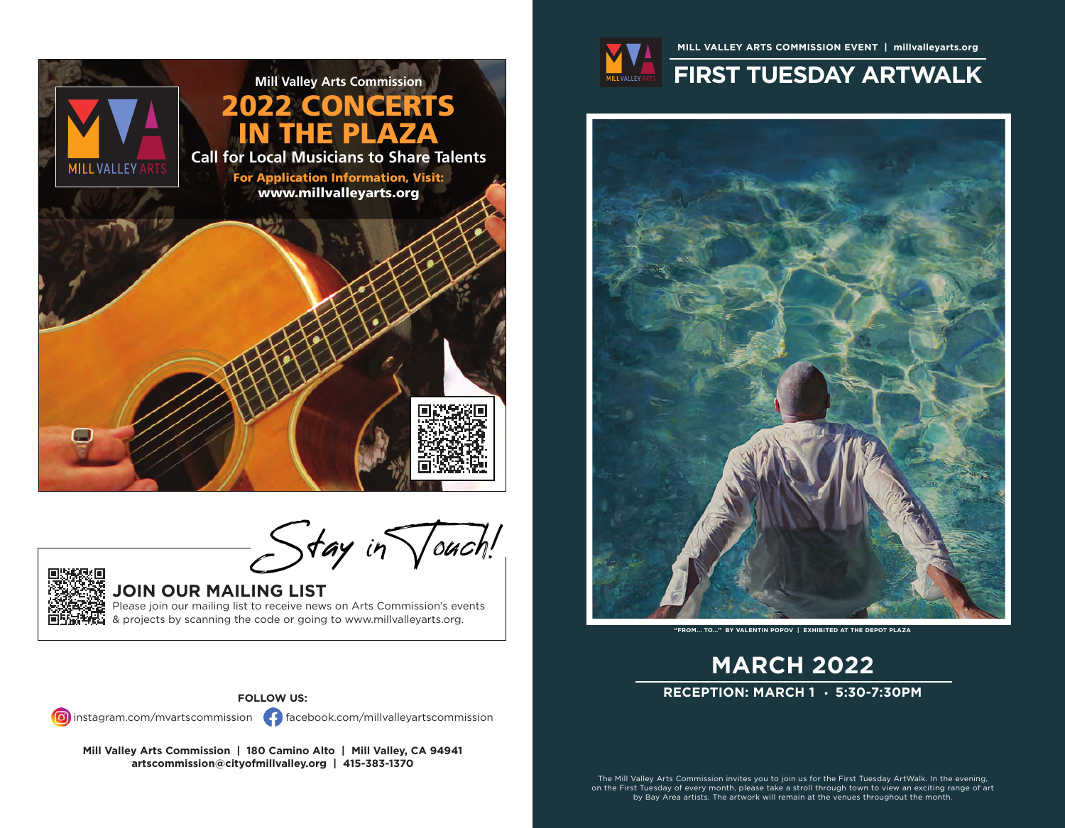

 $-$  Stay in  $\sqrt{\omega c}$ h!



### **JOIN OUR MAILING LIST**

Please join our mailing list to receive news on Arts Commission's events & projects by scanning the code or going to www.millvalleyarts.org.

### **FOLLOW US:**

instagram.com/mvartscommission facebook.com/millvalleyartscommission

**Mill Valley Arts Commission | 180 Camino Alto | Mill Valley, CA 94941 artscommission@cityofmillvalley.org | 415-383-1370**



## **MILL VALLEY ARTS COMMISSION EVENT | millvalleyarts.org FIRST TUESDAY ARTWALK**



**"FROM... TO..." BY VALENTIN POPOV | EXHIBITED AT THE DEPOT PLAZA**

# **MARCH 2022 RECEPTION: MARCH 1 5:30-7:30PM**

The Mill Valley Arts Commission invites you to join us for the First Tuesday ArtWalk. In the evening, on the First Tuesday of every month, please take a stroll through town to view an exciting range of art by Bay Area artists. The artwork will remain at the venues throughout the month.